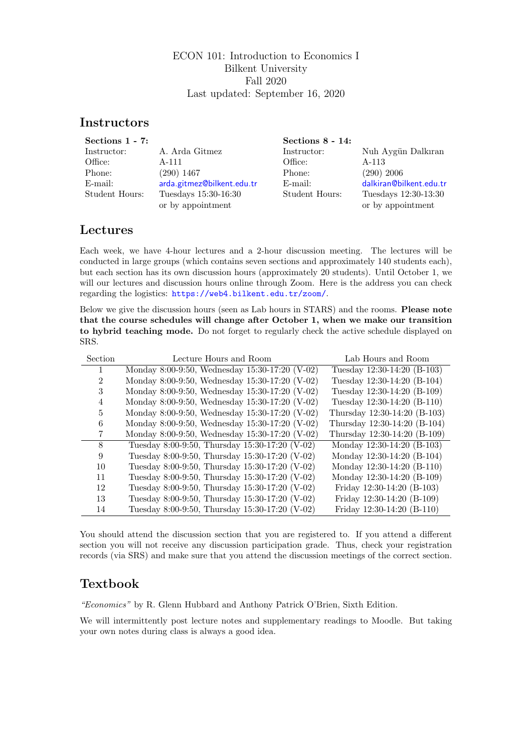### ECON 101: Introduction to Economics I Bilkent University Fall 2020 Last updated: September 16, 2020

## **Instructors**

| Sections $1 - 7$ : |                            | Sections $8 - 14$ : |                         |
|--------------------|----------------------------|---------------------|-------------------------|
| Instructor:        | A. Arda Gitmez             | Instructor:         | Nuh Aygün Dalkıran      |
| Office:            | A-111                      | Office:             | A-113                   |
| Phone:             | $(290)$ 1467               | Phone:              | $(290)$ 2006            |
| $E$ -mail:         | arda.gitmez@bilkent.edu.tr | $E$ -mail:          | dalkiran@bilkent.edu.tr |
| Student Hours:     | Tuesdays 15:30-16:30       | Student Hours:      | Tuesdays 12:30-13:30    |
|                    | or by appointment          |                     | or by appointment       |

## Lectures

Each week, we have 4-hour lectures and a 2-hour discussion meeting. The lectures will be conducted in large groups (which contains seven sections and approximately 140 students each), but each section has its own discussion hours (approximately 20 students). Until October 1, we will our lectures and discussion hours online through Zoom. Here is the address you can check regarding the logistics: <https://web4.bilkent.edu.tr/zoom/>.

Below we give the discussion hours (seen as Lab hours in STARS) and the rooms. Please note that the course schedules will change after October 1, when we make our transition to hybrid teaching mode. Do not forget to regularly check the active schedule displayed on SRS.

| Section        | Lecture Hours and Room                         | Lab Hours and Room           |
|----------------|------------------------------------------------|------------------------------|
|                | Monday 8:00-9:50, Wednesday 15:30-17:20 (V-02) | Tuesday 12:30-14:20 (B-103)  |
| $\mathfrak{D}$ | Monday 8:00-9:50, Wednesday 15:30-17:20 (V-02) | Tuesday 12:30-14:20 (B-104)  |
| 3              | Monday 8:00-9:50, Wednesday 15:30-17:20 (V-02) | Tuesday 12:30-14:20 (B-109)  |
| 4              | Monday 8:00-9:50, Wednesday 15:30-17:20 (V-02) | Tuesday 12:30-14:20 (B-110)  |
| 5              | Monday 8:00-9:50, Wednesday 15:30-17:20 (V-02) | Thursday 12:30-14:20 (B-103) |
| 6              | Monday 8:00-9:50, Wednesday 15:30-17:20 (V-02) | Thursday 12:30-14:20 (B-104) |
|                | Monday 8:00-9:50, Wednesday 15:30-17:20 (V-02) | Thursday 12:30-14:20 (B-109) |
| 8              | Tuesday 8:00-9:50, Thursday 15:30-17:20 (V-02) | Monday 12:30-14:20 (B-103)   |
| 9              | Tuesday 8:00-9:50, Thursday 15:30-17:20 (V-02) | Monday 12:30-14:20 (B-104)   |
| 10             | Tuesday 8:00-9:50, Thursday 15:30-17:20 (V-02) | Monday 12:30-14:20 (B-110)   |
| 11             | Tuesday 8:00-9:50, Thursday 15:30-17:20 (V-02) | Monday 12:30-14:20 (B-109)   |
| 12             | Tuesday 8:00-9:50, Thursday 15:30-17:20 (V-02) | Friday $12:30-14:20$ (B-103) |
| 13             | Tuesday 8:00-9:50, Thursday 15:30-17:20 (V-02) | Friday 12:30-14:20 (B-109)   |
| 14             | Tuesday 8:00-9:50, Thursday 15:30-17:20 (V-02) | Friday $12:30-14:20$ (B-110) |

You should attend the discussion section that you are registered to. If you attend a different section you will not receive any discussion participation grade. Thus, check your registration records (via SRS) and make sure that you attend the discussion meetings of the correct section.

## Textbook

"Economics" by R. Glenn Hubbard and Anthony Patrick O'Brien, Sixth Edition.

We will intermittently post lecture notes and supplementary readings to Moodle. But taking your own notes during class is always a good idea.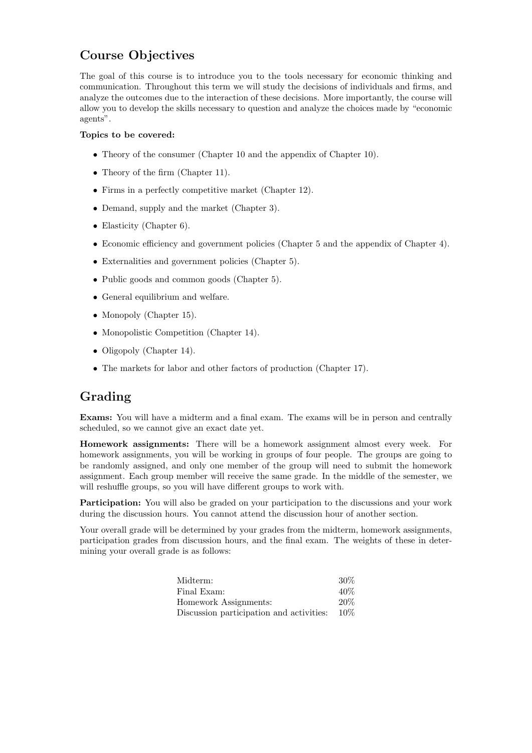# Course Objectives

The goal of this course is to introduce you to the tools necessary for economic thinking and communication. Throughout this term we will study the decisions of individuals and firms, and analyze the outcomes due to the interaction of these decisions. More importantly, the course will allow you to develop the skills necessary to question and analyze the choices made by "economic agents".

#### Topics to be covered:

- Theory of the consumer (Chapter 10 and the appendix of Chapter 10).
- Theory of the firm (Chapter 11).
- Firms in a perfectly competitive market (Chapter 12).
- Demand, supply and the market (Chapter 3).
- Elasticity (Chapter 6).
- Economic efficiency and government policies (Chapter 5 and the appendix of Chapter 4).
- Externalities and government policies (Chapter 5).
- Public goods and common goods (Chapter 5).
- General equilibrium and welfare.
- Monopoly (Chapter 15).
- Monopolistic Competition (Chapter 14).
- Oligopoly (Chapter 14).
- The markets for labor and other factors of production (Chapter 17).

## Grading

Exams: You will have a midterm and a final exam. The exams will be in person and centrally scheduled, so we cannot give an exact date yet.

Homework assignments: There will be a homework assignment almost every week. For homework assignments, you will be working in groups of four people. The groups are going to be randomly assigned, and only one member of the group will need to submit the homework assignment. Each group member will receive the same grade. In the middle of the semester, we will reshuffle groups, so you will have different groups to work with.

Participation: You will also be graded on your participation to the discussions and your work during the discussion hours. You cannot attend the discussion hour of another section.

Your overall grade will be determined by your grades from the midterm, homework assignments, participation grades from discussion hours, and the final exam. The weights of these in determining your overall grade is as follows:

| Midterm:                                        | $30\%$ |
|-------------------------------------------------|--------|
| Final Exam:                                     | $40\%$ |
| Homework Assignments:                           | $20\%$ |
| Discussion participation and activities: $10\%$ |        |